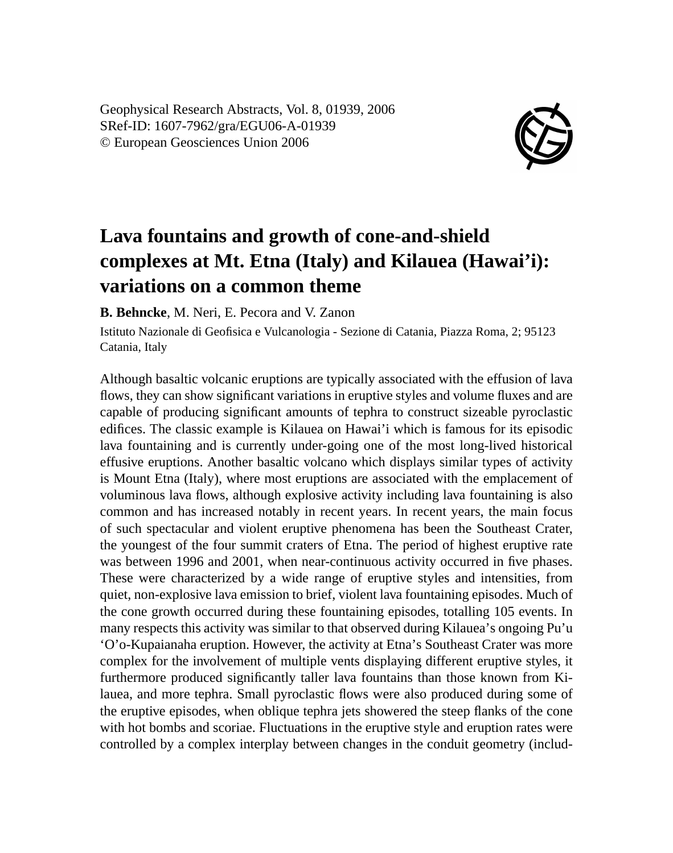Geophysical Research Abstracts, Vol. 8, 01939, 2006 SRef-ID: 1607-7962/gra/EGU06-A-01939 © European Geosciences Union 2006



## **Lava fountains and growth of cone-and-shield complexes at Mt. Etna (Italy) and Kilauea (Hawai'i): variations on a common theme**

**B. Behncke**, M. Neri, E. Pecora and V. Zanon

Istituto Nazionale di Geofisica e Vulcanologia - Sezione di Catania, Piazza Roma, 2; 95123 Catania, Italy

Although basaltic volcanic eruptions are typically associated with the effusion of lava flows, they can show significant variations in eruptive styles and volume fluxes and are capable of producing significant amounts of tephra to construct sizeable pyroclastic edifices. The classic example is Kilauea on Hawai'i which is famous for its episodic lava fountaining and is currently under-going one of the most long-lived historical effusive eruptions. Another basaltic volcano which displays similar types of activity is Mount Etna (Italy), where most eruptions are associated with the emplacement of voluminous lava flows, although explosive activity including lava fountaining is also common and has increased notably in recent years. In recent years, the main focus of such spectacular and violent eruptive phenomena has been the Southeast Crater, the youngest of the four summit craters of Etna. The period of highest eruptive rate was between 1996 and 2001, when near-continuous activity occurred in five phases. These were characterized by a wide range of eruptive styles and intensities, from quiet, non-explosive lava emission to brief, violent lava fountaining episodes. Much of the cone growth occurred during these fountaining episodes, totalling 105 events. In many respects this activity was similar to that observed during Kilauea's ongoing Pu'u 'O'o-Kupaianaha eruption. However, the activity at Etna's Southeast Crater was more complex for the involvement of multiple vents displaying different eruptive styles, it furthermore produced significantly taller lava fountains than those known from Kilauea, and more tephra. Small pyroclastic flows were also produced during some of the eruptive episodes, when oblique tephra jets showered the steep flanks of the cone with hot bombs and scoriae. Fluctuations in the eruptive style and eruption rates were controlled by a complex interplay between changes in the conduit geometry (includ-